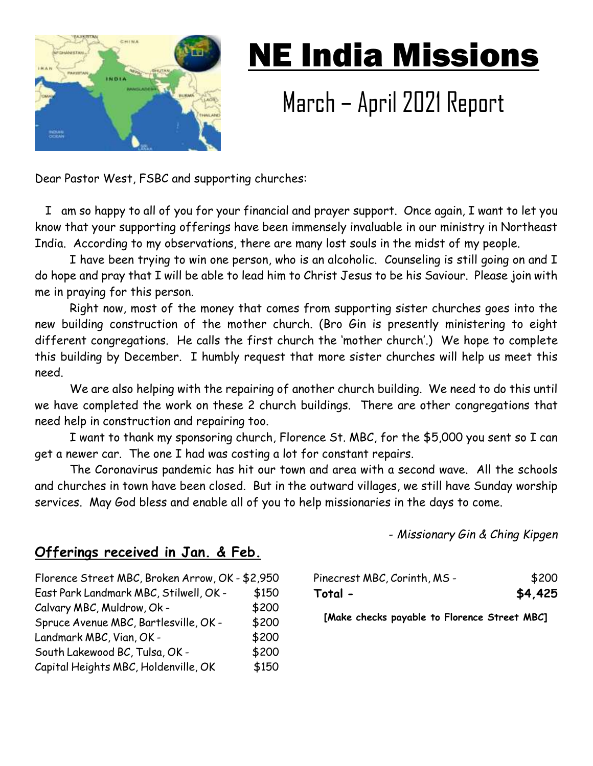

## NE India Missions

## March – April 2021 Report

Dear Pastor West, FSBC and supporting churches:

 I am so happy to all of you for your financial and prayer support. Once again, I want to let you know that your supporting offerings have been immensely invaluable in our ministry in Northeast India. According to my observations, there are many lost souls in the midst of my people.

I have been trying to win one person, who is an alcoholic. Counseling is still going on and I do hope and pray that I will be able to lead him to Christ Jesus to be his Saviour. Please join with me in praying for this person.

Right now, most of the money that comes from supporting sister churches goes into the new building construction of the mother church. (Bro Gin is presently ministering to eight different congregations. He calls the first church the 'mother church'.) We hope to complete this building by December. I humbly request that more sister churches will help us meet this need.

We are also helping with the repairing of another church building. We need to do this until we have completed the work on these 2 church buildings. There are other congregations that need help in construction and repairing too.

I want to thank my sponsoring church, Florence St. MBC, for the \$5,000 you sent so I can get a newer car. The one I had was costing a lot for constant repairs.

The Coronavirus pandemic has hit our town and area with a second wave. All the schools and churches in town have been closed. But in the outward villages, we still have Sunday worship services. May God bless and enable all of you to help missionaries in the days to come.

- *Missionary Gin & Ching Kipgen*

## **Offerings received in Jan. & Feb.**

| Florence Street MBC, Broken Arrow, OK - \$2,950 |       |
|-------------------------------------------------|-------|
| East Park Landmark MBC, Stilwell, OK -          | \$150 |
| Calvary MBC, Muldrow, Ok -                      | \$200 |
| Spruce Avenue MBC, Bartlesville, OK -           | \$200 |
| Landmark MBC, Vian, OK -                        | \$200 |
| South Lakewood BC, Tulsa, OK -                  | \$200 |
| Capital Heights MBC, Holdenville, OK            | \$150 |

| Pinecrest MBC, Corinth, MS - | \$200   |
|------------------------------|---------|
| Total -                      | \$4,425 |

**[Make checks payable to Florence Street MBC]**